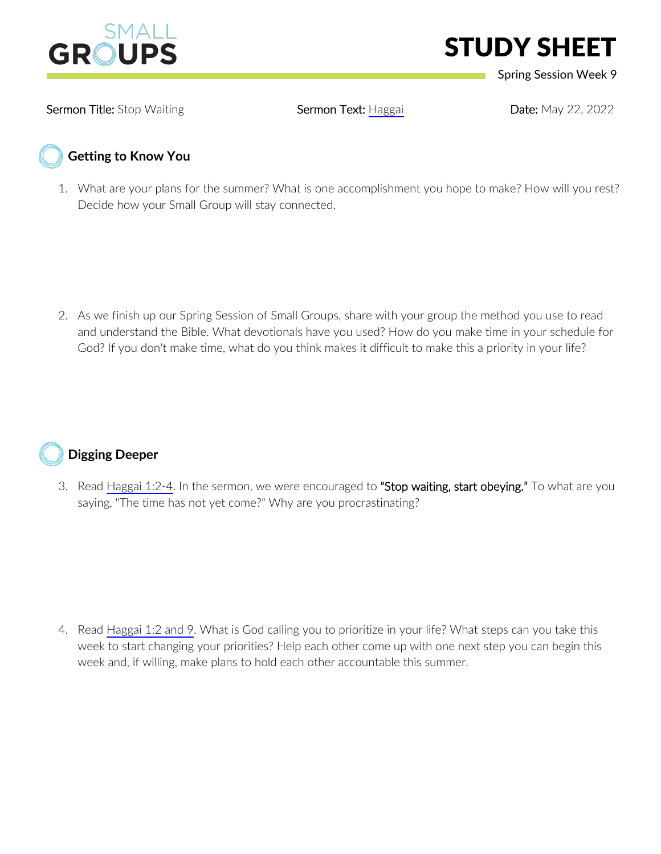

## STUDY SHEET

Spring Session Week 9

Sermon Title: Stop Waiting **Sermon Text: [Haggai](https://www.biblegateway.com/passage/?search=Haggai+1-2&version=NIV) Pate: May 22, 2022** Sermon Text: Haggai Date: May 22, 2022

## **Getting to Know You**

1. What are your plans for the summer? What is one accomplishment you hope to make? How will you rest? Decide how your Small Group will stay connected.

2. As we finish up our Spring Session of Small Groups, share with your group the method you use to read and understand the Bible. What devotionals have you used? How do you make time in your schedule for God? If you don't make time, what do you think makes it difficult to make this a priority in your life?



3. Read [Haggai 1:2-4](https://www.biblegateway.com/passage/?search=Haggai+1%3A2-4&version=NIV). In the sermon, we were encouraged to "Stop waiting, start obeying." To what are you saying, "The time has not yet come?" Why are you procrastinating?

4. Read [Haggai 1:2 and 9.](https://www.biblegateway.com/passage/?search=Haggai+1%3A2%2C+9&version=NIV) What is God calling you to prioritize in your life? What steps can you take this week to start changing your priorities? Help each other come up with one next step you can begin this week and, if willing, make plans to hold each other accountable this summer.